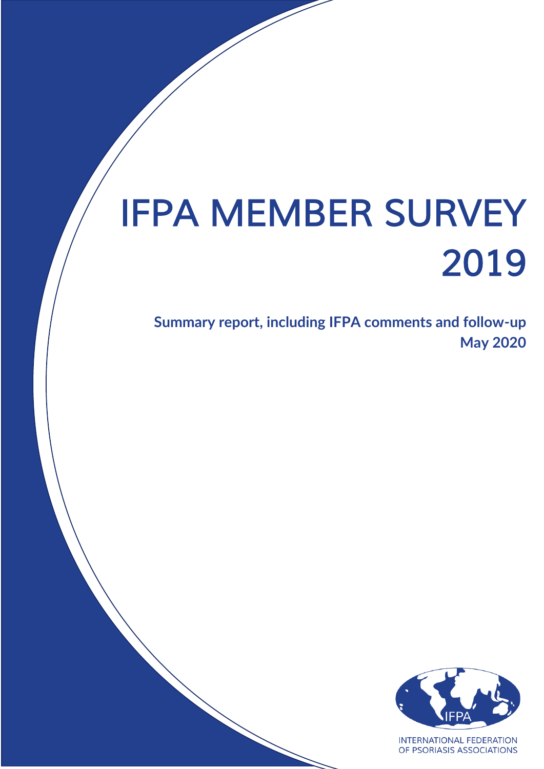# *IFPA MEMBER SURVEY 2019*

**Summary report, including IFPA comments and follow-up May 2020**



**INTERNATIONAL FEDERATION** OF PSORIASIS ASSOCIATIONS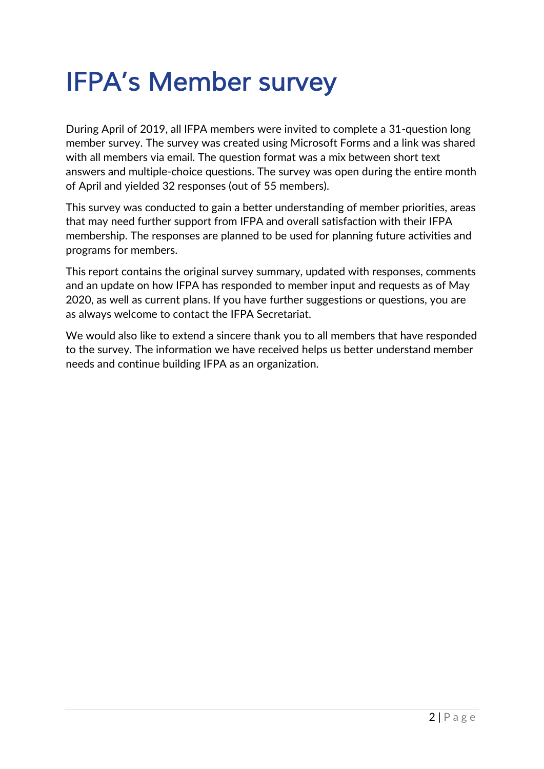## *IFPA's Member survey*

During April of 2019, all IFPA members were invited to complete a 31-question long member survey. The survey was created using Microsoft Forms and a link was shared with all members via email. The question format was a mix between short text answers and multiple-choice questions. The survey was open during the entire month of April and yielded 32 responses (out of 55 members).

This survey was conducted to gain a better understanding of member priorities, areas that may need further support from IFPA and overall satisfaction with their IFPA membership. The responses are planned to be used for planning future activities and programs for members.

This report contains the original survey summary, updated with responses, comments and an update on how IFPA has responded to member input and requests as of May 2020, as well as current plans. If you have further suggestions or questions, you are as always welcome to contact the IFPA Secretariat.

We would also like to extend a sincere thank you to all members that have responded to the survey. The information we have received helps us better understand member needs and continue building IFPA as an organization.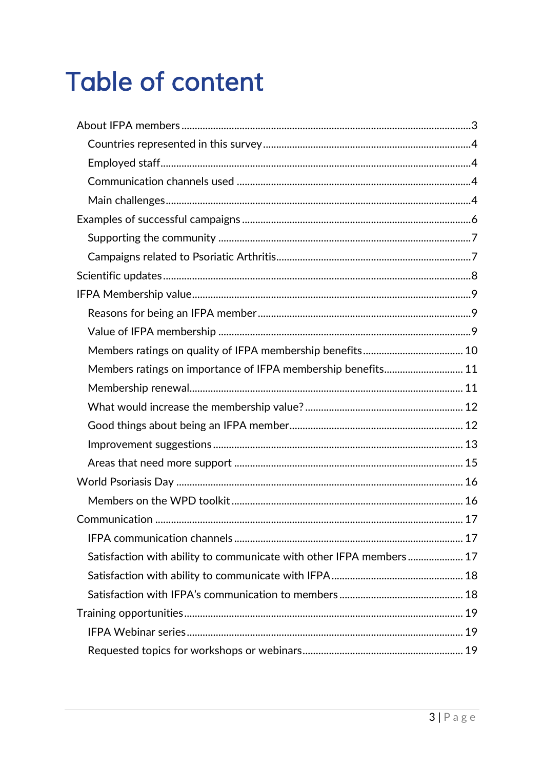## **Table of content**

<span id="page-2-0"></span>

| Members ratings on importance of IFPA membership benefits 11        |  |
|---------------------------------------------------------------------|--|
|                                                                     |  |
|                                                                     |  |
|                                                                     |  |
|                                                                     |  |
|                                                                     |  |
|                                                                     |  |
|                                                                     |  |
|                                                                     |  |
|                                                                     |  |
| Satisfaction with ability to communicate with other IFPA members 17 |  |
|                                                                     |  |
|                                                                     |  |
|                                                                     |  |
|                                                                     |  |
|                                                                     |  |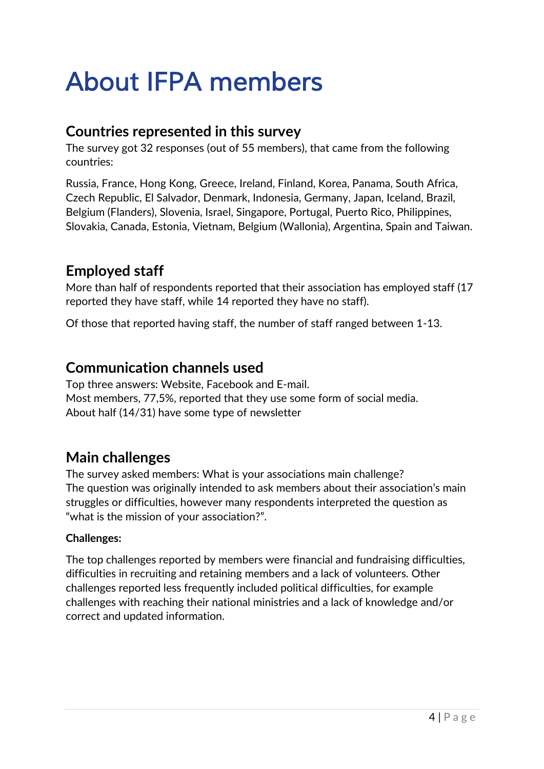## *About IFPA members*

## <span id="page-3-0"></span>**Countries represented in this survey**

The survey got 32 responses (out of 55 members), that came from the following countries:

Russia, France, Hong Kong, Greece, Ireland, Finland, Korea, Panama, South Africa, Czech Republic, El Salvador, Denmark, Indonesia, Germany, Japan, Iceland, Brazil, Belgium (Flanders), Slovenia, Israel, Singapore, Portugal, Puerto Rico, Philippines, Slovakia, Canada, Estonia, Vietnam, Belgium (Wallonia), Argentina, Spain and Taiwan.

## <span id="page-3-1"></span>**Employed staff**

More than half of respondents reported that their association has employed staff (17 reported they have staff, while 14 reported they have no staff).

Of those that reported having staff, the number of staff ranged between 1-13.

## <span id="page-3-2"></span>**Communication channels used**

Top three answers: Website, Facebook and E-mail. Most members, 77,5%, reported that they use some form of social media. About half (14/31) have some type of newsletter

## <span id="page-3-3"></span>**Main challenges**

The survey asked members: What is your associations main challenge? The question was originally intended to ask members about their association's main struggles or difficulties, however many respondents interpreted the question as "what is the mission of your association?".

## **Challenges:**

The top challenges reported by members were financial and fundraising difficulties, difficulties in recruiting and retaining members and a lack of volunteers. Other challenges reported less frequently included political difficulties, for example challenges with reaching their national ministries and a lack of knowledge and/or correct and updated information.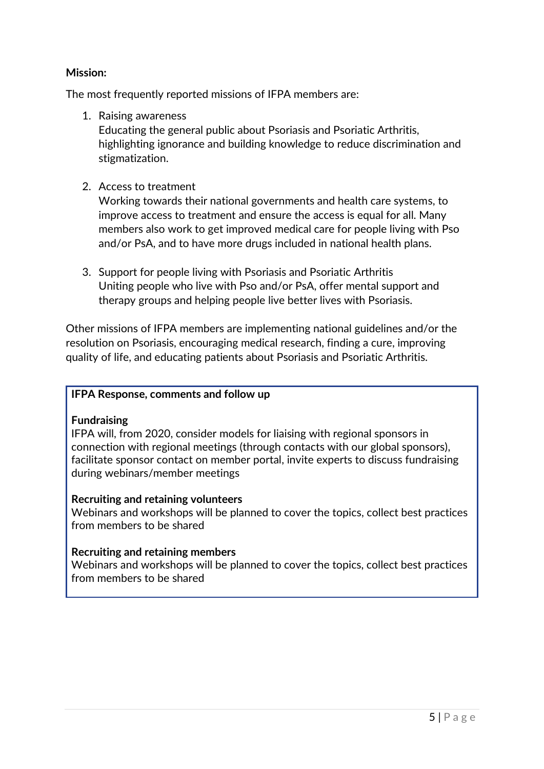### **Mission:**

The most frequently reported missions of IFPA members are:

1. Raising awareness

Educating the general public about Psoriasis and Psoriatic Arthritis, highlighting ignorance and building knowledge to reduce discrimination and stigmatization.

2. Access to treatment

Working towards their national governments and health care systems, to improve access to treatment and ensure the access is equal for all. Many members also work to get improved medical care for people living with Pso and/or PsA, and to have more drugs included in national health plans.

3. Support for people living with Psoriasis and Psoriatic Arthritis Uniting people who live with Pso and/or PsA, offer mental support and therapy groups and helping people live better lives with Psoriasis.

Other missions of IFPA members are implementing national guidelines and/or the resolution on Psoriasis, encouraging medical research, finding a cure, improving quality of life, and educating patients about Psoriasis and Psoriatic Arthritis.

#### **IFPA Response, comments and follow up**

#### **Fundraising**

IFPA will, from 2020, consider models for liaising with regional sponsors in connection with regional meetings (through contacts with our global sponsors), facilitate sponsor contact on member portal, invite experts to discuss fundraising during webinars/member meetings

#### **Recruiting and retaining volunteers**

Webinars and workshops will be planned to cover the topics, collect best practices from members to be shared

### **Recruiting and retaining members**

Webinars and workshops will be planned to cover the topics, collect best practices from members to be shared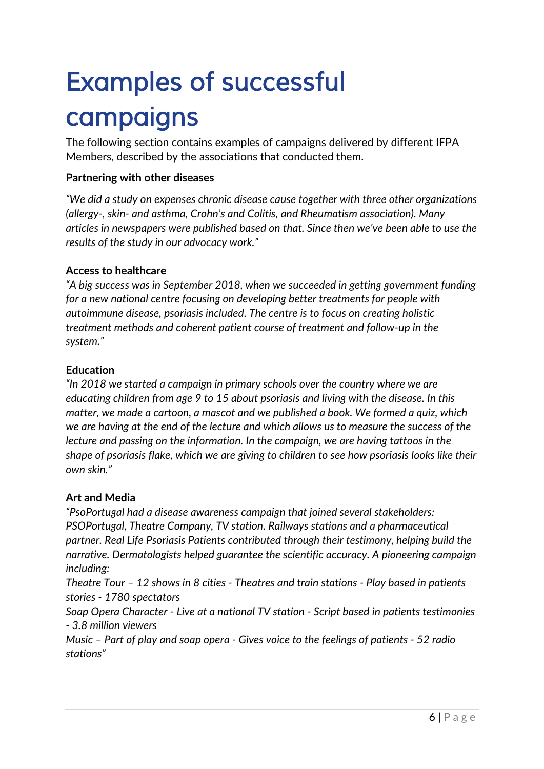## <span id="page-5-0"></span>*Examples of successful campaigns*

The following section contains examples of campaigns delivered by different IFPA Members, described by the associations that conducted them.

## **Partnering with other diseases**

*"We did a study on expenses chronic disease cause together with three other organizations (allergy-, skin- and asthma, Crohn's and Colitis, and Rheumatism association). Many articles in newspapers were published based on that. Since then we've been able to use the results of the study in our advocacy work."*

## **Access to healthcare**

*"A big success was in September 2018, when we succeeded in getting government funding for a new national centre focusing on developing better treatments for people with autoimmune disease, psoriasis included. The centre is to focus on creating holistic treatment methods and coherent patient course of treatment and follow-up in the system."*

## **Education**

*"In 2018 we started a campaign in primary schools over the country where we are educating children from age 9 to 15 about psoriasis and living with the disease. In this matter, we made a cartoon, a mascot and we published a book. We formed a quiz, which we are having at the end of the lecture and which allows us to measure the success of the lecture and passing on the information. In the campaign, we are having tattoos in the shape of psoriasis flake, which we are giving to children to see how psoriasis looks like their own skin."*

## **Art and Media**

*"PsoPortugal had a disease awareness campaign that joined several stakeholders: PSOPortugal, Theatre Company, TV station. Railways stations and a pharmaceutical partner. Real Life Psoriasis Patients contributed through their testimony, helping build the narrative. Dermatologists helped guarantee the scientific accuracy. A pioneering campaign including:* 

*Theatre Tour – 12 shows in 8 cities - Theatres and train stations - Play based in patients stories - 1780 spectators*

*Soap Opera Character - Live at a national TV station - Script based in patients testimonies - 3.8 million viewers*

*Music – Part of play and soap opera - Gives voice to the feelings of patients - 52 radio stations"*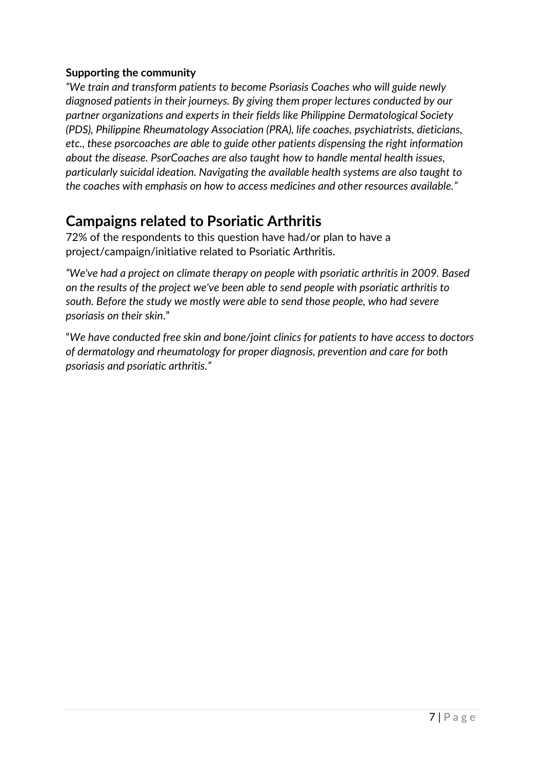### <span id="page-6-0"></span>**Supporting the community**

*"We train and transform patients to become Psoriasis Coaches who will guide newly diagnosed patients in their journeys. By giving them proper lectures conducted by our partner organizations and experts in their fields like Philippine Dermatological Society (PDS), Philippine Rheumatology Association (PRA), life coaches, psychiatrists, dieticians, etc., these psorcoaches are able to guide other patients dispensing the right information about the disease. PsorCoaches are also taught how to handle mental health issues, particularly suicidal ideation. Navigating the available health systems are also taught to the coaches with emphasis on how to access medicines and other resources available."*

## <span id="page-6-1"></span>**Campaigns related to Psoriatic Arthritis**

72% of the respondents to this question have had/or plan to have a project/campaign/initiative related to Psoriatic Arthritis.

*"We've had a project on climate therapy on people with psoriatic arthritis in 2009. Based on the results of the project we've been able to send people with psoriatic arthritis to south. Before the study we mostly were able to send those people, who had severe psoriasis on their skin*."

"*We have conducted free skin and bone/joint clinics for patients to have access to doctors of dermatology and rheumatology for proper diagnosis, prevention and care for both psoriasis and psoriatic arthritis."*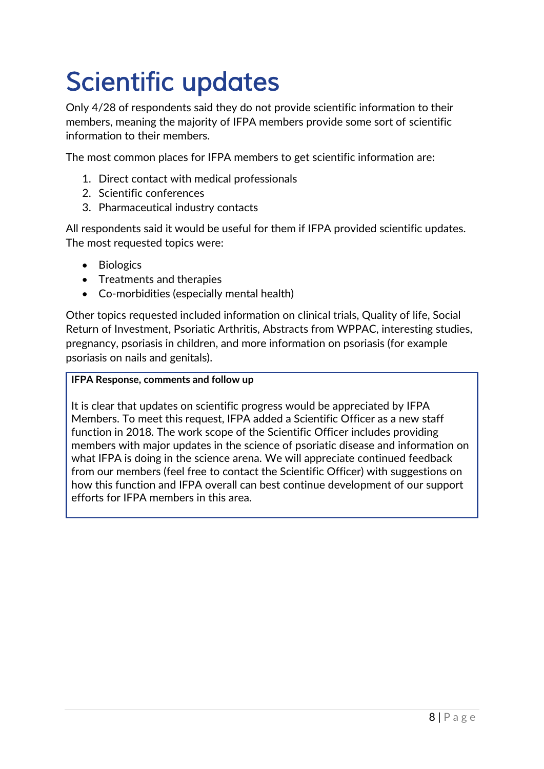## <span id="page-7-0"></span>*Scientific updates*

Only 4/28 of respondents said they do not provide scientific information to their members, meaning the majority of IFPA members provide some sort of scientific information to their members.

The most common places for IFPA members to get scientific information are:

- 1. Direct contact with medical professionals
- 2. Scientific conferences
- 3. Pharmaceutical industry contacts

All respondents said it would be useful for them if IFPA provided scientific updates. The most requested topics were:

- Biologics
- Treatments and therapies
- Co-morbidities (especially mental health)

Other topics requested included information on clinical trials, Quality of life, Social Return of Investment, Psoriatic Arthritis, Abstracts from WPPAC, interesting studies, pregnancy, psoriasis in children, and more information on psoriasis (for example psoriasis on nails and genitals).

#### **IFPA Response, comments and follow up**

It is clear that updates on scientific progress would be appreciated by IFPA Members. To meet this request, IFPA added a Scientific Officer as a new staff function in 2018. The work scope of the Scientific Officer includes providing members with major updates in the science of psoriatic disease and information on what IFPA is doing in the science arena. We will appreciate continued feedback from our members (feel free to contact the Scientific Officer) with suggestions on how this function and IFPA overall can best continue development of our support efforts for IFPA members in this area.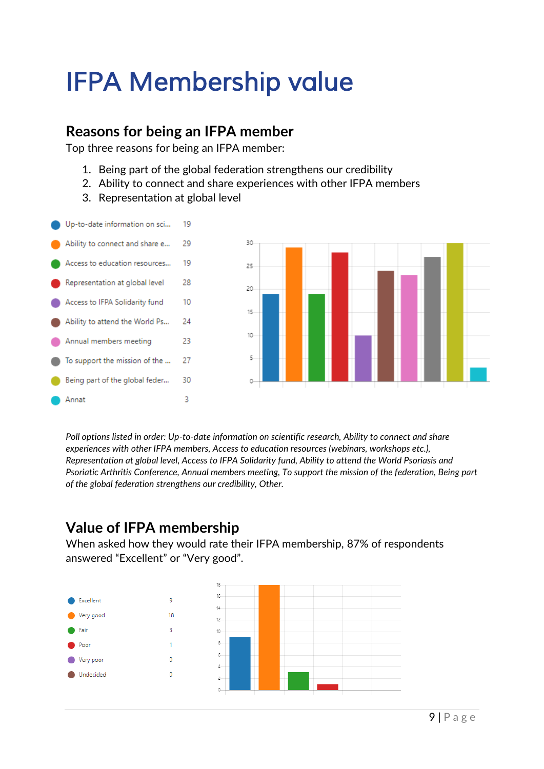## <span id="page-8-0"></span>*IFPA Membership value*

## <span id="page-8-1"></span>**Reasons for being an IFPA member**

Top three reasons for being an IFPA member:

- 1. Being part of the global federation strengthens our credibility
- 2. Ability to connect and share experiences with other IFPA members
- 3. Representation at global level



*Poll options listed in order: Up-to-date information on scientific research, Ability to connect and share experiences with other IFPA members, Access to education resources (webinars, workshops etc.), Representation at global level, Access to IFPA Solidarity fund, Ability to attend the World Psoriasis and Psoriatic Arthritis Conference, Annual members meeting, To support the mission of the federation, Being part of the global federation strengthens our credibility, Other.*

## <span id="page-8-2"></span>**Value of IFPA membership**

When asked how they would rate their IFPA membership, 87% of respondents answered "Excellent" or "Very good".

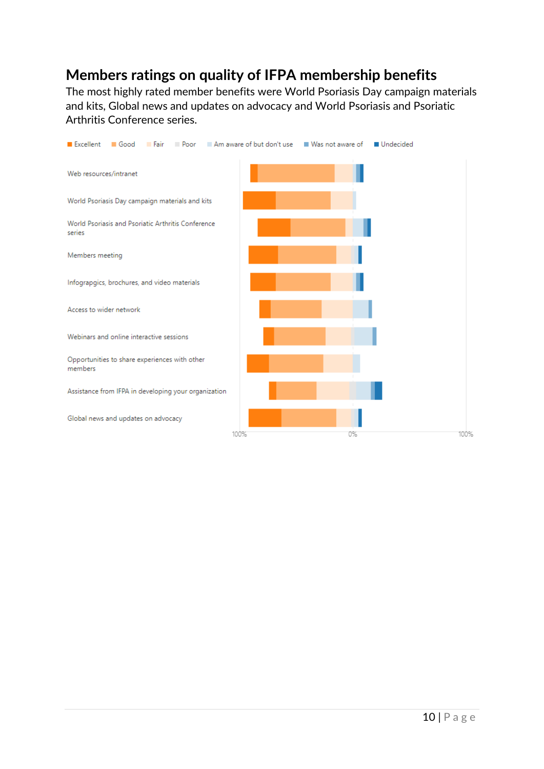## <span id="page-9-0"></span>**Members ratings on quality of IFPA membership benefits**

The most highly rated member benefits were World Psoriasis Day campaign materials and kits, Global news and updates on advocacy and World Psoriasis and Psoriatic Arthritis Conference series.

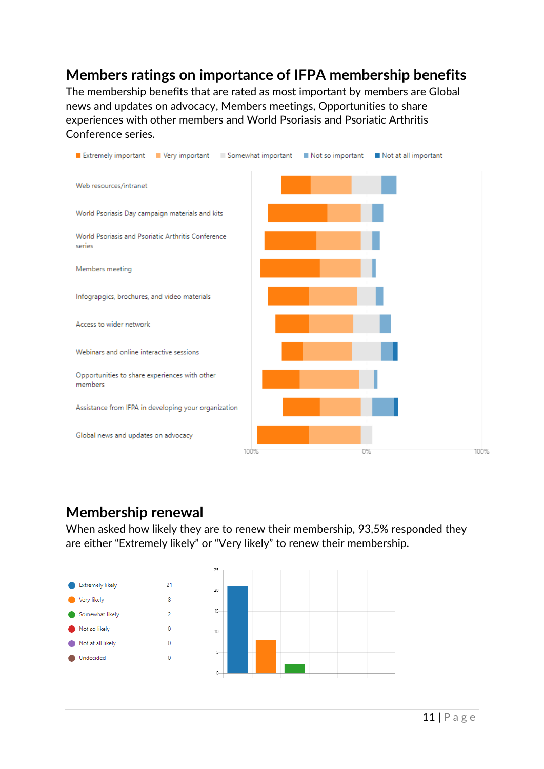## <span id="page-10-0"></span>**Members ratings on importance of IFPA membership benefits**

The membership benefits that are rated as most important by members are Global news and updates on advocacy, Members meetings, Opportunities to share experiences with other members and World Psoriasis and Psoriatic Arthritis Conference series.



## <span id="page-10-1"></span>**Membership renewal**

When asked how likely they are to renew their membership, 93,5% responded they are either "Extremely likely" or "Very likely" to renew their membership.

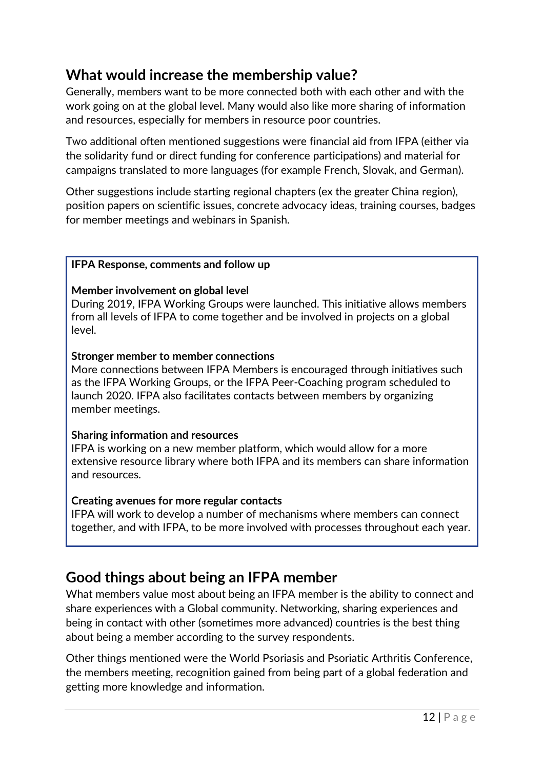## <span id="page-11-0"></span>**What would increase the membership value?**

Generally, members want to be more connected both with each other and with the work going on at the global level. Many would also like more sharing of information and resources, especially for members in resource poor countries.

Two additional often mentioned suggestions were financial aid from IFPA (either via the solidarity fund or direct funding for conference participations) and material for campaigns translated to more languages (for example French, Slovak, and German).

Other suggestions include starting regional chapters (ex the greater China region), position papers on scientific issues, concrete advocacy ideas, training courses, badges for member meetings and webinars in Spanish.

#### **IFPA Response, comments and follow up**

#### **Member involvement on global level**

During 2019, IFPA Working Groups were launched. This initiative allows members from all levels of IFPA to come together and be involved in projects on a global level.

#### **Stronger member to member connections**

More connections between IFPA Members is encouraged through initiatives such as the IFPA Working Groups, or the IFPA Peer-Coaching program scheduled to launch 2020. IFPA also facilitates contacts between members by organizing member meetings.

#### **Sharing information and resources**

IFPA is working on a new member platform, which would allow for a more extensive resource library where both IFPA and its members can share information and resources.

#### **Creating avenues for more regular contacts**

IFPA will work to develop a number of mechanisms where members can connect together, and with IFPA, to be more involved with processes throughout each year.

## <span id="page-11-1"></span>**Good things about being an IFPA member**

What members value most about being an IFPA member is the ability to connect and share experiences with a Global community. Networking, sharing experiences and being in contact with other (sometimes more advanced) countries is the best thing about being a member according to the survey respondents.

Other things mentioned were the World Psoriasis and Psoriatic Arthritis Conference, the members meeting, recognition gained from being part of a global federation and getting more knowledge and information.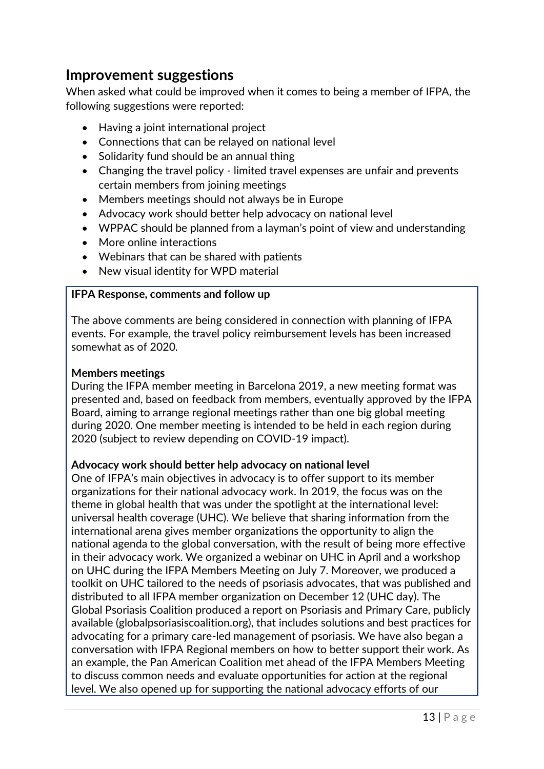## <span id="page-12-0"></span>**Improvement suggestions**

When asked what could be improved when it comes to being a member of IFPA, the following suggestions were reported:

- Having a joint international project
- Connections that can be relayed on national level
- Solidarity fund should be an annual thing
- Changing the travel policy limited travel expenses are unfair and prevents certain members from joining meetings
- Members meetings should not always be in Europe
- Advocacy work should better help advocacy on national level
- WPPAC should be planned from a layman's point of view and understanding
- More online interactions
- Webinars that can be shared with patients
- New visual identity for WPD material

#### **IFPA Response, comments and follow up**

The above comments are being considered in connection with planning of IFPA events. For example, the travel policy reimbursement levels has been increased somewhat as of 2020.

#### **Members meetings**

During the IFPA member meeting in Barcelona 2019, a new meeting format was presented and, based on feedback from members, eventually approved by the IFPA Board, aiming to arrange regional meetings rather than one big global meeting during 2020. One member meeting is intended to be held in each region during 2020 (subject to review depending on COVID-19 impact).

### **Advocacy work should better help advocacy on national level**

One of IFPA's main objectives in advocacy is to offer support to its member organizations for their national advocacy work. In 2019, the focus was on the theme in global health that was under the spotlight at the international level: universal health coverage (UHC). We believe that sharing information from the international arena gives member organizations the opportunity to align the national agenda to the global conversation, with the result of being more effective in their advocacy work. We organized a webinar on UHC in April and a workshop on UHC during the IFPA Members Meeting on July 7. Moreover, we produced a toolkit on UHC tailored to the needs of psoriasis advocates, that was published and distributed to all IFPA member organization on December 12 (UHC day). The Global Psoriasis Coalition produced a report on Psoriasis and Primary Care, publicly available (globalpsoriasiscoalition.org), that includes solutions and best practices for advocating for a primary care-led management of psoriasis. We have also began a conversation with IFPA Regional members on how to better support their work. As an example, the Pan American Coalition met ahead of the IFPA Members Meeting to discuss common needs and evaluate opportunities for action at the regional level. We also opened up for supporting the national advocacy efforts of our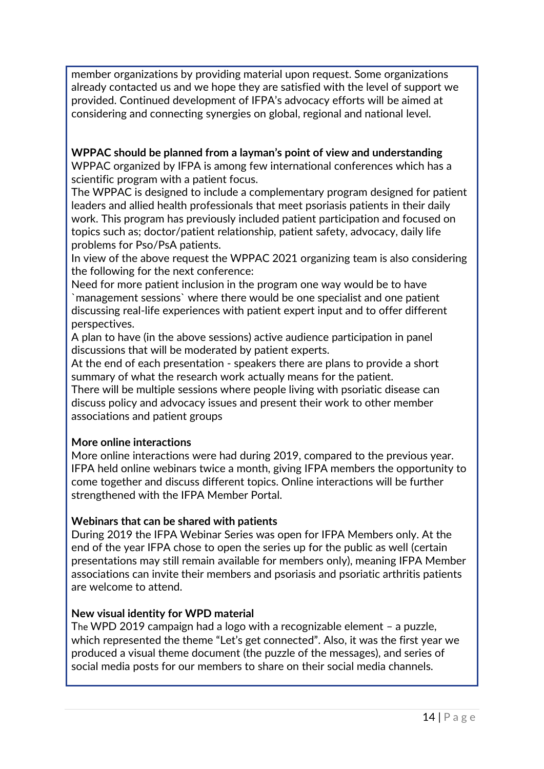member organizations by providing material upon request. Some organizations already contacted us and we hope they are satisfied with the level of support we provided. Continued development of IFPA's advocacy efforts will be aimed at considering and connecting synergies on global, regional and national level.

**WPPAC should be planned from a layman's point of view and understanding** WPPAC organized by IFPA is among few international conferences which has a scientific program with a patient focus.

The WPPAC is designed to include a complementary program designed for patient leaders and allied health professionals that meet psoriasis patients in their daily work. This program has previously included patient participation and focused on topics such as; doctor/patient relationship, patient safety, advocacy, daily life problems for Pso/PsA patients.

In view of the above request the WPPAC 2021 organizing team is also considering the following for the next conference:

Need for more patient inclusion in the program one way would be to have `management sessions` where there would be one specialist and one patient discussing real-life experiences with patient expert input and to offer different perspectives.

A plan to have (in the above sessions) active audience participation in panel discussions that will be moderated by patient experts.

At the end of each presentation - speakers there are plans to provide a short summary of what the research work actually means for the patient.

There will be multiple sessions where people living with psoriatic disease can discuss policy and advocacy issues and present their work to other member associations and patient groups

### **More online interactions**

More online interactions were had during 2019, compared to the previous year. IFPA held online webinars twice a month, giving IFPA members the opportunity to come together and discuss different topics. Online interactions will be further strengthened with the IFPA Member Portal.

#### **Webinars that can be shared with patients**

During 2019 the IFPA Webinar Series was open for IFPA Members only. At the end of the year IFPA chose to open the series up for the public as well (certain presentations may still remain available for members only), meaning IFPA Member associations can invite their members and psoriasis and psoriatic arthritis patients are welcome to attend.

#### **New visual identity for WPD material**

The WPD 2019 campaign had a logo with a recognizable element – a puzzle, which represented the theme "Let's get connected". Also, it was the first year we produced a visual theme document (the puzzle of the messages), and series of social media posts for our members to share on their social media channels.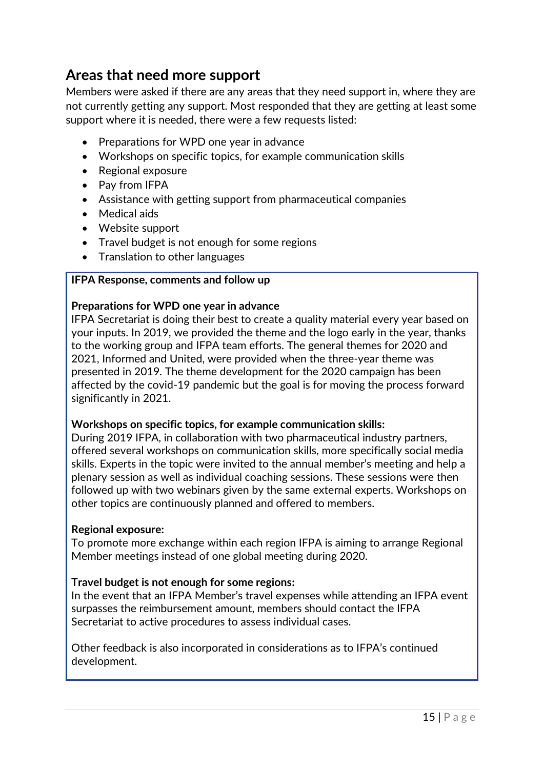## <span id="page-14-0"></span>**Areas that need more support**

Members were asked if there are any areas that they need support in, where they are not currently getting any support. Most responded that they are getting at least some support where it is needed, there were a few requests listed:

- Preparations for WPD one year in advance
- Workshops on specific topics, for example communication skills
- Regional exposure
- Pay from IFPA
- Assistance with getting support from pharmaceutical companies
- Medical aids
- Website support
- Travel budget is not enough for some regions
- Translation to other languages

### **IFPA Response, comments and follow up**

#### **Preparations for WPD one year in advance**

IFPA Secretariat is doing their best to create a quality material every year based on your inputs. In 2019, we provided the theme and the logo early in the year, thanks to the working group and IFPA team efforts. The general themes for 2020 and 2021, Informed and United, were provided when the three-year theme was presented in 2019. The theme development for the 2020 campaign has been affected by the covid-19 pandemic but the goal is for moving the process forward significantly in 2021.

#### **Workshops on specific topics, for example communication skills:**

During 2019 IFPA, in collaboration with two pharmaceutical industry partners, offered several workshops on communication skills, more specifically social media skills. Experts in the topic were invited to the annual member's meeting and help a plenary session as well as individual coaching sessions. These sessions were then followed up with two webinars given by the same external experts. Workshops on other topics are continuously planned and offered to members.

#### **Regional exposure:**

To promote more exchange within each region IFPA is aiming to arrange Regional Member meetings instead of one global meeting during 2020.

### **Travel budget is not enough for some regions:**

In the event that an IFPA Member's travel expenses while attending an IFPA event surpasses the reimbursement amount, members should contact the IFPA Secretariat to active procedures to assess individual cases.

Other feedback is also incorporated in considerations as to IFPA's continued development.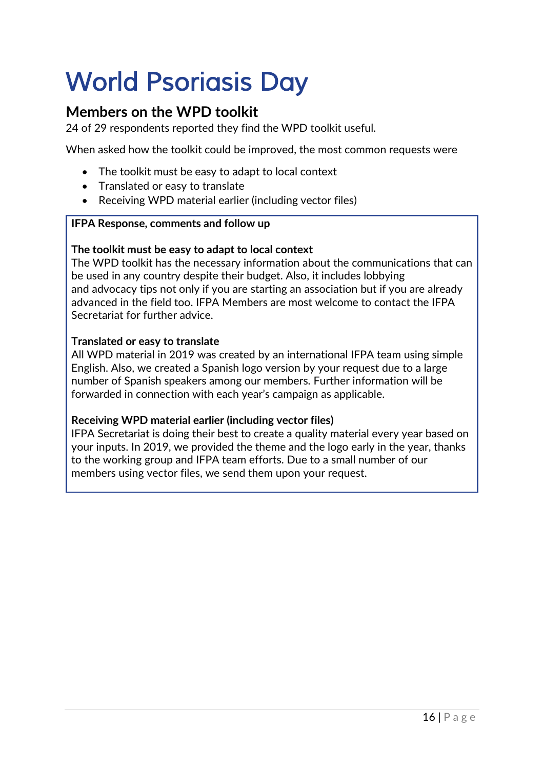## <span id="page-15-0"></span>*World Psoriasis Day*

## <span id="page-15-1"></span>**Members on the WPD toolkit**

24 of 29 respondents reported they find the WPD toolkit useful.

When asked how the toolkit could be improved, the most common requests were

- The toolkit must be easy to adapt to local context
- Translated or easy to translate
- Receiving WPD material earlier (including vector files)

### **IFPA Response, comments and follow up**

### **The toolkit must be easy to adapt to local context**

The WPD toolkit has the necessary information about the communications that can be used in any country despite their budget. Also, it includes lobbying and advocacy tips not only if you are starting an association but if you are already advanced in the field too. IFPA Members are most welcome to contact the IFPA Secretariat for further advice.

### **Translated or easy to translate**

All WPD material in 2019 was created by an international IFPA team using simple English. Also, we created a Spanish logo version by your request due to a large number of Spanish speakers among our members. Further information will be forwarded in connection with each year's campaign as applicable.

### **Receiving WPD material earlier (including vector files)**

IFPA Secretariat is doing their best to create a quality material every year based on your inputs. In 2019, we provided the theme and the logo early in the year, thanks to the working group and IFPA team efforts. Due to a small number of our members using vector files, we send them upon your request.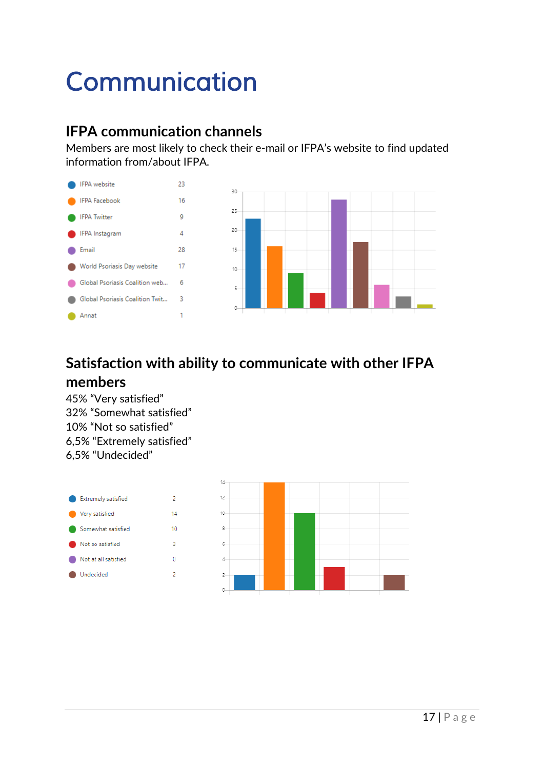## <span id="page-16-0"></span>*Communication*

## <span id="page-16-1"></span>**IFPA communication channels**

Members are most likely to check their e-mail or IFPA's website to find updated information from/about IFPA.



## <span id="page-16-2"></span>**Satisfaction with ability to communicate with other IFPA members**

45% "Very satisfied" 32% "Somewhat satisfied" 10% "Not so satisfied" 6,5% "Extremely satisfied" 6,5% "Undecided"

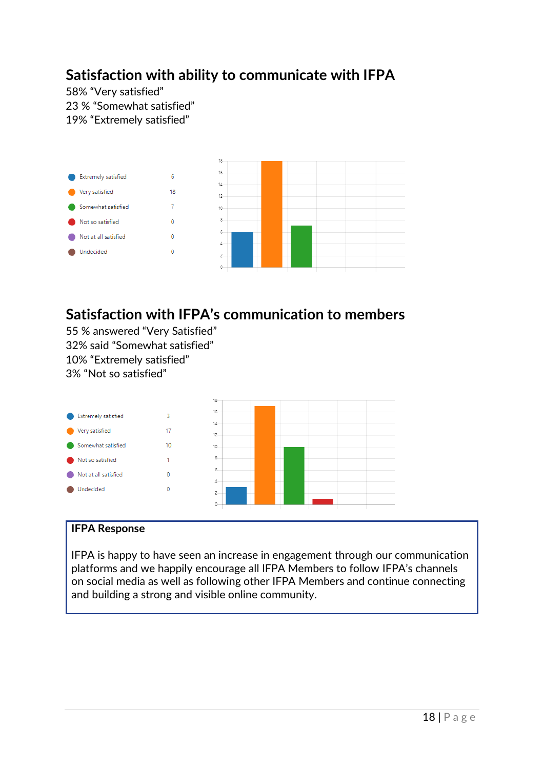## <span id="page-17-0"></span>**Satisfaction with ability to communicate with IFPA**

58% "Very satisfied" 23 % "Somewhat satisfied" 19% "Extremely satisfied"



## <span id="page-17-1"></span>**Satisfaction with IFPA's communication to members**

55 % answered "Very Satisfied" 32% said "Somewhat satisfied" 10% "Extremely satisfied" 3% "Not so satisfied"



### **IFPA Response**

IFPA is happy to have seen an increase in engagement through our communication platforms and we happily encourage all IFPA Members to follow IFPA's channels on social media as well as following other IFPA Members and continue connecting and building a strong and visible online community.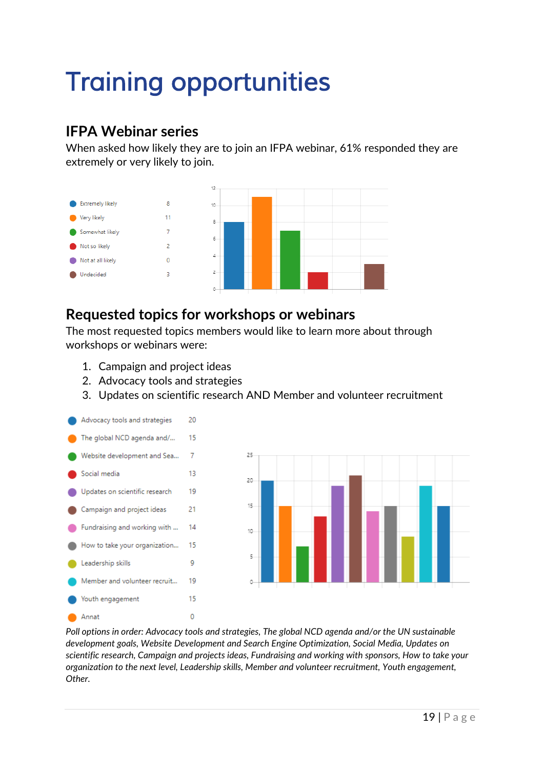## <span id="page-18-0"></span>*Training opportunities*

## <span id="page-18-1"></span>**IFPA Webinar series**

When asked how likely they are to join an IFPA webinar, 61% responded they are extremely or very likely to join.



## <span id="page-18-2"></span>**Requested topics for workshops or webinars**

The most requested topics members would like to learn more about through workshops or webinars were:

- 1. Campaign and project ideas
- 2. Advocacy tools and strategies
- 3. Updates on scientific research AND Member and volunteer recruitment





*Poll options in order: Advocacy tools and strategies, The global NCD agenda and/or the UN sustainable development goals, Website Development and Search Engine Optimization, Social Media, Updates on scientific research, Campaign and projects ideas, Fundraising and working with sponsors, How to take your organization to the next level, Leadership skills, Member and volunteer recruitment, Youth engagement, Other.*